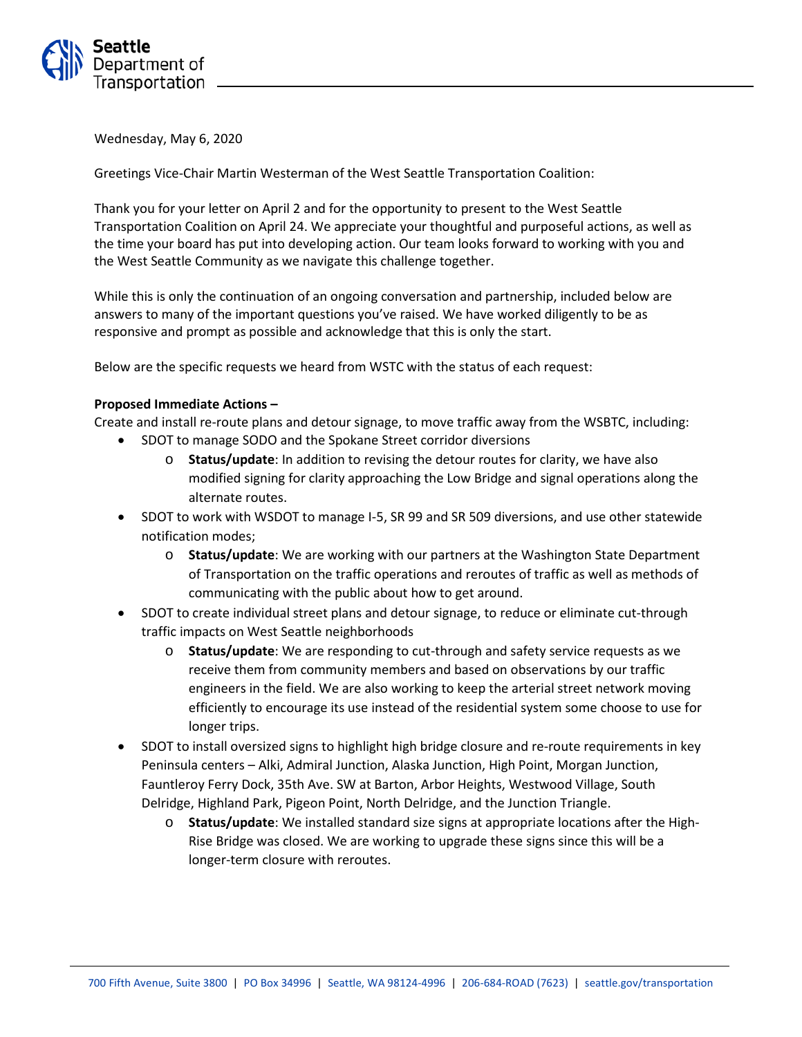

Wednesday, May 6, 2020

Greetings Vice-Chair Martin Westerman of the West Seattle Transportation Coalition:

Thank you for your letter on April 2 and for the opportunity to present to the West Seattle Transportation Coalition on April 24. We appreciate your thoughtful and purposeful actions, as well as the time your board has put into developing action. Our team looks forward to working with you and the West Seattle Community as we navigate this challenge together.

While this is only the continuation of an ongoing conversation and partnership, included below are answers to many of the important questions you've raised. We have worked diligently to be as responsive and prompt as possible and acknowledge that this is only the start.

Below are the specific requests we heard from WSTC with the status of each request:

## **Proposed Immediate Actions –**

Create and install re-route plans and detour signage, to move traffic away from the WSBTC, including:

- SDOT to manage SODO and the Spokane Street corridor diversions
	- o **Status/update**: In addition to revising the detour routes for clarity, we have also modified signing for clarity approaching the Low Bridge and signal operations along the alternate routes.
- SDOT to work with WSDOT to manage I-5, SR 99 and SR 509 diversions, and use other statewide notification modes;
	- o **Status/update**: We are working with our partners at the Washington State Department of Transportation on the traffic operations and reroutes of traffic as well as methods of communicating with the public about how to get around.
- SDOT to create individual street plans and detour signage, to reduce or eliminate cut-through traffic impacts on West Seattle neighborhoods
	- o **Status/update**: We are responding to cut-through and safety service requests as we receive them from community members and based on observations by our traffic engineers in the field. We are also working to keep the arterial street network moving efficiently to encourage its use instead of the residential system some choose to use for longer trips.
- SDOT to install oversized signs to highlight high bridge closure and re-route requirements in key Peninsula centers – Alki, Admiral Junction, Alaska Junction, High Point, Morgan Junction, Fauntleroy Ferry Dock, 35th Ave. SW at Barton, Arbor Heights, Westwood Village, South Delridge, Highland Park, Pigeon Point, North Delridge, and the Junction Triangle.
	- o **Status/update**: We installed standard size signs at appropriate locations after the High-Rise Bridge was closed. We are working to upgrade these signs since this will be a longer-term closure with reroutes.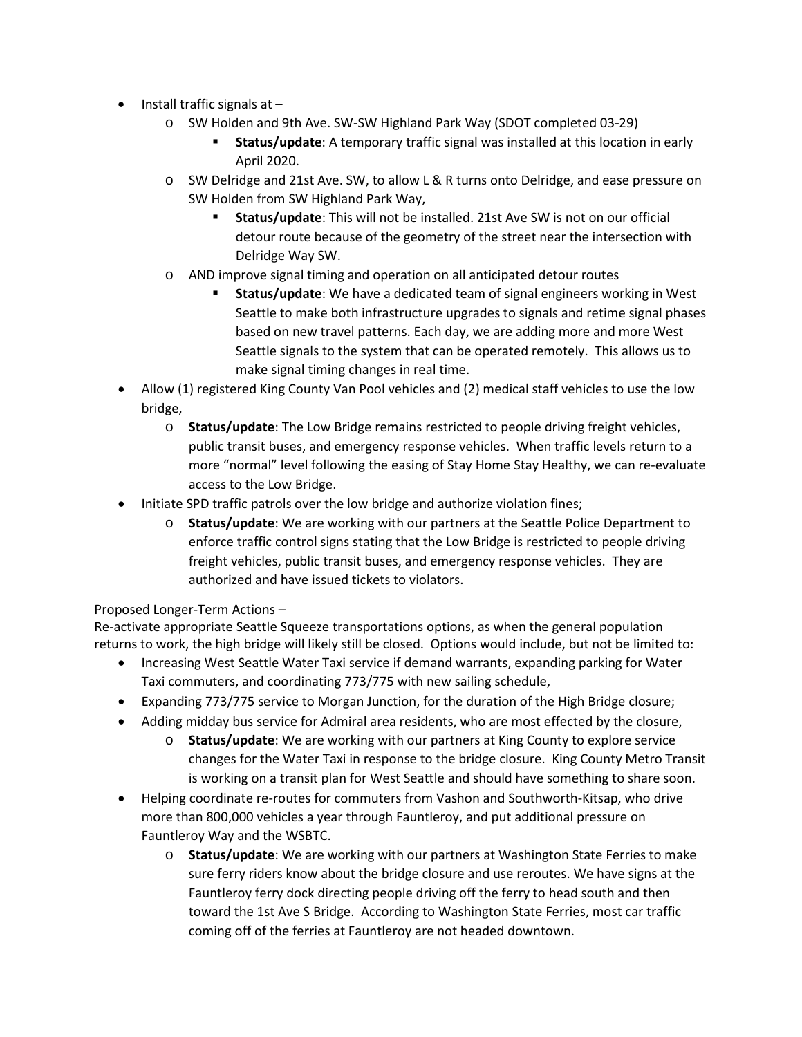- Install traffic signals at  $$ 
	- o SW Holden and 9th Ave. SW-SW Highland Park Way (SDOT completed 03-29)
		- **Status/update**: A temporary traffic signal was installed at this location in early April 2020.
	- o SW Delridge and 21st Ave. SW, to allow L & R turns onto Delridge, and ease pressure on SW Holden from SW Highland Park Way,
		- **Status/update**: This will not be installed. 21st Ave SW is not on our official detour route because of the geometry of the street near the intersection with Delridge Way SW.
	- o AND improve signal timing and operation on all anticipated detour routes
		- **Status/update**: We have a dedicated team of signal engineers working in West Seattle to make both infrastructure upgrades to signals and retime signal phases based on new travel patterns. Each day, we are adding more and more West Seattle signals to the system that can be operated remotely. This allows us to make signal timing changes in real time.
- Allow (1) registered King County Van Pool vehicles and (2) medical staff vehicles to use the low bridge,
	- o **Status/update**: The Low Bridge remains restricted to people driving freight vehicles, public transit buses, and emergency response vehicles. When traffic levels return to a more "normal" level following the easing of Stay Home Stay Healthy, we can re-evaluate access to the Low Bridge.
- Initiate SPD traffic patrols over the low bridge and authorize violation fines;
	- o **Status/update**: We are working with our partners at the Seattle Police Department to enforce traffic control signs stating that the Low Bridge is restricted to people driving freight vehicles, public transit buses, and emergency response vehicles. They are authorized and have issued tickets to violators.

## Proposed Longer-Term Actions –

Re-activate appropriate Seattle Squeeze transportations options, as when the general population returns to work, the high bridge will likely still be closed. Options would include, but not be limited to:

- Increasing West Seattle Water Taxi service if demand warrants, expanding parking for Water Taxi commuters, and coordinating 773/775 with new sailing schedule,
- Expanding 773/775 service to Morgan Junction, for the duration of the High Bridge closure;
- Adding midday bus service for Admiral area residents, who are most effected by the closure,
	- o **Status/update**: We are working with our partners at King County to explore service changes for the Water Taxi in response to the bridge closure. King County Metro Transit is working on a transit plan for West Seattle and should have something to share soon.
- Helping coordinate re-routes for commuters from Vashon and Southworth-Kitsap, who drive more than 800,000 vehicles a year through Fauntleroy, and put additional pressure on Fauntleroy Way and the WSBTC.
	- o **Status/update**: We are working with our partners at Washington State Ferries to make sure ferry riders know about the bridge closure and use reroutes. We have signs at the Fauntleroy ferry dock directing people driving off the ferry to head south and then toward the 1st Ave S Bridge. According to Washington State Ferries, most car traffic coming off of the ferries at Fauntleroy are not headed downtown.